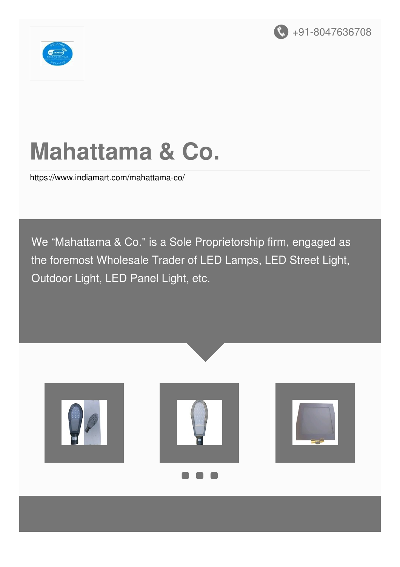



# **Mahattama & Co.**

<https://www.indiamart.com/mahattama-co/>

We "Mahattama & Co." is a Sole Proprietorship firm, engaged as the foremost Wholesale Trader of LED Lamps, LED Street Light, Outdoor Light, LED Panel Light, etc.

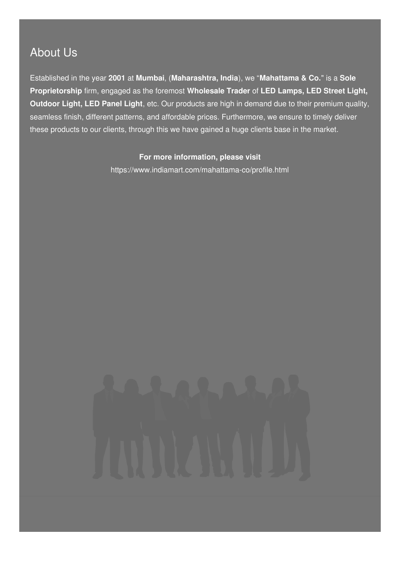#### About Us

Established in the year **2001** at **Mumbai**, (**Maharashtra, India**), we "**Mahattama & Co.**" is a **Sole Proprietorship** firm, engaged as the foremost **Wholesale Trader** of **LED Lamps, LED Street Light, Outdoor Light, LED Panel Light**, etc. Our products are high in demand due to their premium quality, seamless finish, different patterns, and affordable prices. Furthermore, we ensure to timely deliver these products to our clients, through this we have gained a huge clients base in the market.

#### **For more information, please visit**

<https://www.indiamart.com/mahattama-co/profile.html>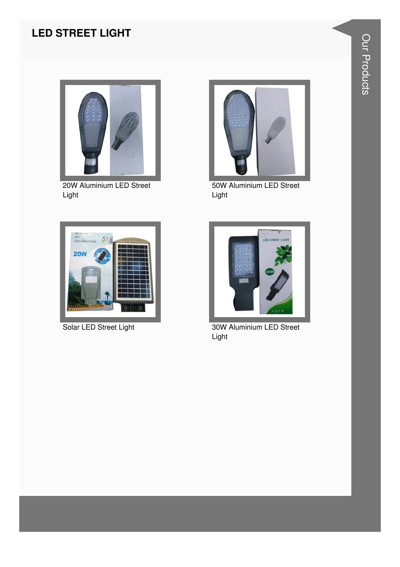#### **LED STREET LIGHT**



20W Aluminium LED Street Light



50W Aluminium LED Street Light



Solar LED Street Light



30W Aluminium LED Street Light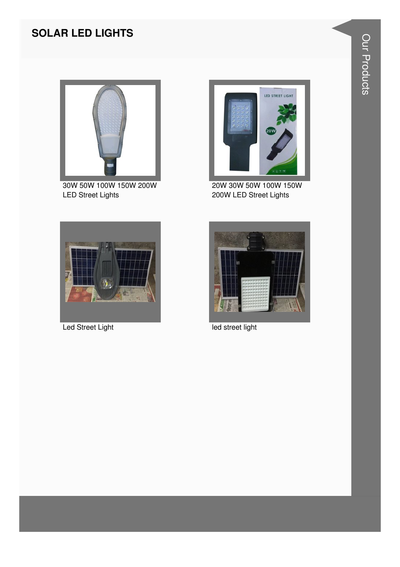#### **SOLAR LED LIGHTS**



30W 50W 100W 150W 200W LED Street Lights



20W 30W 50W 100W 150W 200W LED Street Lights





Led Street Light **Led Street Light**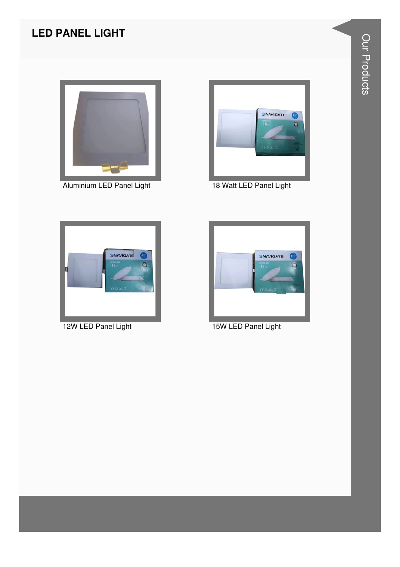### **LED PANEL LIGHT**



Aluminium LED Panel Light 18 Watt LED Panel Light







12W LED Panel Light 15W LED Panel Light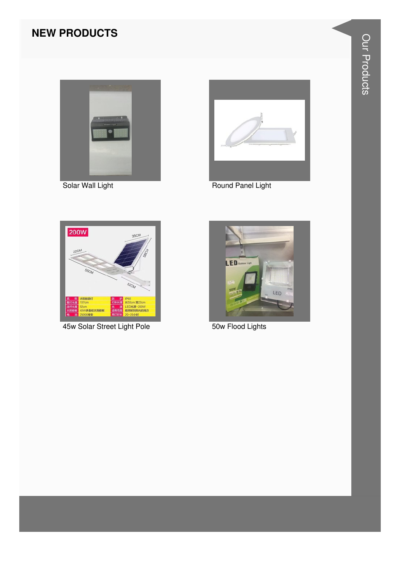#### **NEW PRODUCTS**



Solar Wall Light



Round Panel Light



45w Solar Street Light Pole



50w Flood Lights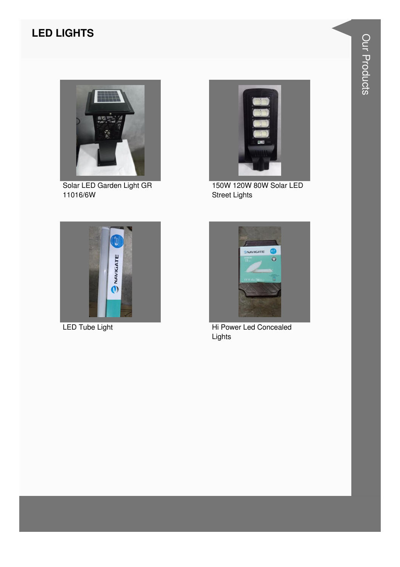#### **LED LIGHTS**



Solar LED Garden Light GR 11016/6W



150W 120W 80W Solar LED Street Lights





LED Tube Light **Hi Power Led Concealed** Lights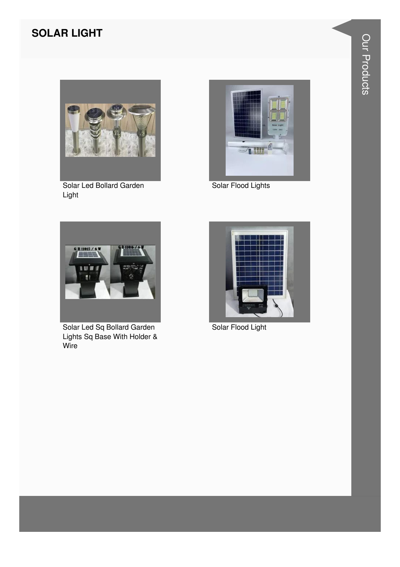#### **SOLAR LIGHT**



Solar Led Bollard Garden Light



Solar Flood Lights



Solar Led Sq Bollard Garden Lights Sq Base With Holder & Wire



Solar Flood Light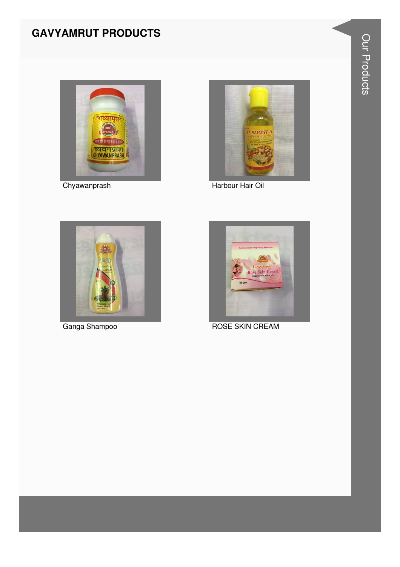#### **GAVYAMRUT PRODUCTS**



Chyawanprash



Harbour Hair Oil



Ganga Shampoo



**ROSE SKIN CREAM**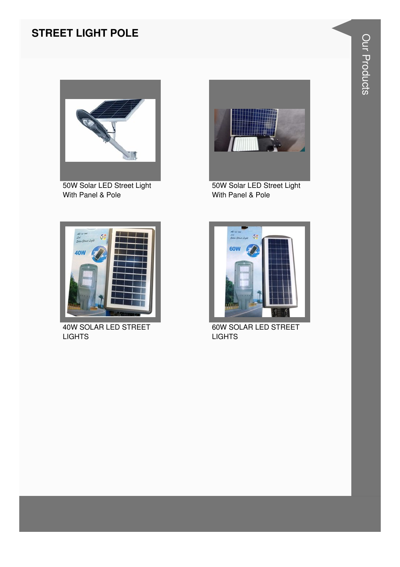#### **STREET LIGHT POLE**



50W Solar LED Street Light With Panel & Pole



50W Solar LED Street Light With Panel & Pole



40W SOLAR LED STREET **LIGHTS** 



60W SOLAR LED STREET **LIGHTS**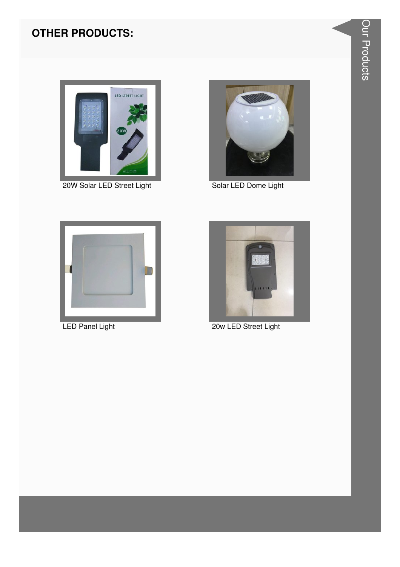#### **OTHER PRODUCTS:**



20W Solar LED Street Light



Solar LED Dome Light



**LED Panel Light** 



20w LED Street Light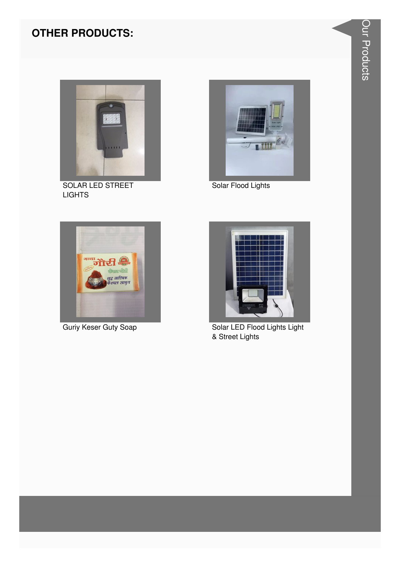#### **OTHER PRODUCTS:**



SOLAR LED STREET **LIGHTS** 



Solar Flood Lights



Guriy Keser Guty Soap



Solar LED Flood Lights Light & Street Lights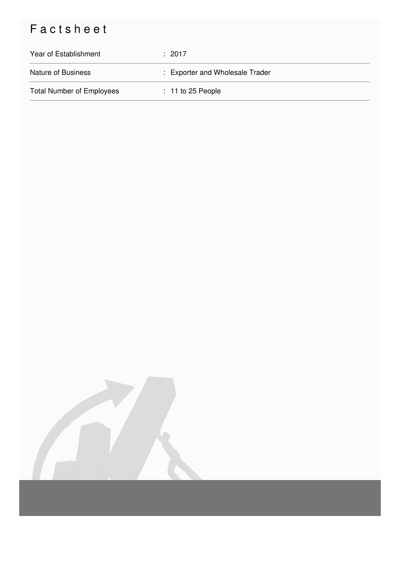## Factsheet

| Year of Establishment            | : 2017                          |
|----------------------------------|---------------------------------|
| <b>Nature of Business</b>        | : Exporter and Wholesale Trader |
| <b>Total Number of Employees</b> | $: 11$ to 25 People             |